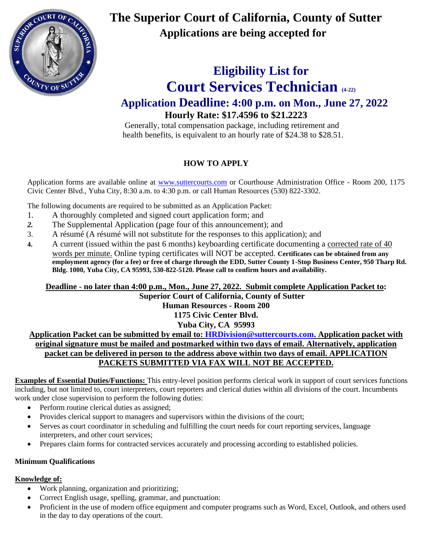

**The Superior Court of California, County of Sutter Applications are being accepted for** 

# **Eligibility List for Court Services Technician (4-22) Application Deadline: 4:00 p.m. on Mon., June 27, 2022 Hourly Rate: \$17.4596 to \$21.2223**

 Generally, total compensation package, including retirement and health benefits, is equivalent to an hourly rate of \$24.38 to \$28.51.

## **HOW TO APPLY**

Application forms are available online at [www.suttercourts.com](http://www.suttercourts.com/) or Courthouse Administration Office - Room 200, 1175 Civic Center Blvd., Yuba City, 8:30 a.m. to 4:30 p.m. or call Human Resources (530) 822-3302.

The following documents are required to be submitted as an Application Packet:

- 1. A thoroughly completed and signed court application form; and
- *2.* The Supplemental Application (page four of this announcement); and
- 3. A résumé (A résumé will not substitute for the responses to this application); and
- **4.** A current (issued within the past 6 months) keyboarding certificate documenting a corrected rate of 40 words per minute. Online typing certificates will NOT be accepted. **Certificates can be obtained from any employment agency (for a fee) or free of charge through the EDD, Sutter County 1-Stop Business Center, 950 Tharp Rd. Bldg. 1000, Yuba City, CA 95993, 530-822-5120. Please call to confirm hours and availability.**

**Deadline - no later than 4:00 p.m., Mon., June 27, 2022. Submit complete Application Packet to:**

**Superior Court of California, County of Sutter**

**Human Resources - Room 200**

**1175 Civic Center Blvd.**

## **Yuba City, CA 95993**

**Application Packet can be submitted by email to: [HRDivision@suttercourts.com.](mailto:HRDivision@suttercourts.com) Application packet with original signature must be mailed and postmarked within two days of email. Alternatively, application packet can be delivered in person to the address above within two days of email. APPLICATION PACKETS SUBMITTED VIA FAX WILL NOT BE ACCEPTED.**

**Examples of Essential Duties/Functions:** This entry-level position performs clerical work in support of court services functions including, but not limited to, court interpreters, court reporters and clerical duties within all divisions of the court. Incumbents work under close supervision to perform the following duties:

- Perform routine clerical duties as assigned;
- Provides clerical support to managers and supervisors within the divisions of the court;
- Serves as court coordinator in scheduling and fulfilling the court needs for court reporting services, language interpreters, and other court services;
- Prepares claim forms for contracted services accurately and processing according to established policies.

## **Minimum Qualifications**

## **Knowledge of:**

- Work planning, organization and prioritizing;
- Correct English usage, spelling, grammar, and punctuation:
- Proficient in the use of modern office equipment and computer programs such as Word, Excel, Outlook, and others used in the day to day operations of the court.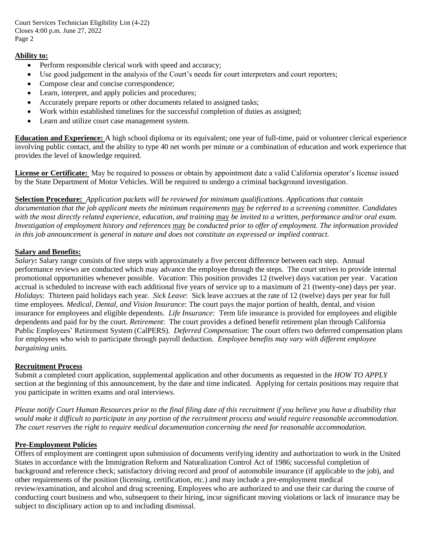Court Services Technician Eligibility List (4-22) Closes 4:00 p.m. June 27, 2022 Page 2

#### **Ability to:**

- Perform responsible clerical work with speed and accuracy;
- Use good judgement in the analysis of the Court's needs for court interpreters and court reporters;
- Compose clear and concise correspondence;
- Learn, interpret, and apply policies and procedures;
- Accurately prepare reports or other documents related to assigned tasks;
- Work within established timelines for the successful completion of duties as assigned;
- Learn and utilize court case management system.

**Education and Experience:** A high school diploma or its equivalent; one year of full-time, paid or volunteer clerical experience involving public contact, and the ability to type 40 net words per minute *or* a combination of education and work experience that provides the level of knowledge required.

**License or Certificate:** May be required to possess or obtain by appointment date a valid California operator's license issued by the State Department of Motor Vehicles. Will be required to undergo a criminal background investigation.

**Selection Procedure:** *Application packets will be reviewed for minimum qualifications. Applications that contain documentation that the job applicant meets the minimum requirements* may *be referred to a screening committee. Candidates with the most directly related experience, education, and training* may *be invited to a written, performance and/or oral exam. Investigation of employment history and references* may *be conducted prior to offer of employment. The information provided in this job announcement is general in nature and does not constitute an expressed or implied contract.* 

#### **Salary and Benefits:**

*Salary***:** Salary range consists of five steps with approximately a five percent difference between each step. Annual performance reviews are conducted which may advance the employee through the steps. The court strives to provide internal promotional opportunities whenever possible. *Vacation*: This position provides 12 (twelve) days vacation per year. Vacation accrual is scheduled to increase with each additional five years of service up to a maximum of 21 (twenty-one) days per year. *Holidays*: Thirteen paid holidays each year. *Sick Leave*: Sick leave accrues at the rate of 12 (twelve) days per year for full time employees. *Medical, Dental, and Vision Insurance*: The court pays the major portion of health, dental, and vision insurance for employees and eligible dependents. *Life Insurance:* Term life insurance is provided for employees and eligible dependents and paid for by the court. *Retirement*: The court provides a defined benefit retirement plan through California Public Employees' Retirement System (CalPERS). *Deferred Compensation*: The court offers two deferred compensation plans for employees who wish to participate through payroll deduction. *Employee benefits may vary with different employee bargaining units.*

#### **Recruitment Process**

Submit a completed court application, supplemental application and other documents as requested in the *HOW TO APPLY* section at the beginning of this announcement, by the date and time indicated. Applying for certain positions may require that you participate in written exams and oral interviews.

*Please notify Court Human Resources prior to the final filing date of this recruitment if you believe you have a disability that would make it difficult to participate in any portion of the recruitment process and would require reasonable accommodation. The court reserves the right to require medical documentation concerning the need for reasonable accommodation.*

#### **Pre-Employment Policies**

Offers of employment are contingent upon submission of documents verifying identity and authorization to work in the United States in accordance with the Immigration Reform and Naturalization Control Act of 1986; successful completion of background and reference check; satisfactory driving record and proof of automobile insurance (if applicable to the job), and other requirements of the position (licensing, certification, etc.) and may include a pre-employment medical review/examination, and alcohol and drug screening. Employees who are authorized to and use their car during the course of conducting court business and who, subsequent to their hiring, incur significant moving violations or lack of insurance may be subject to disciplinary action up to and including dismissal.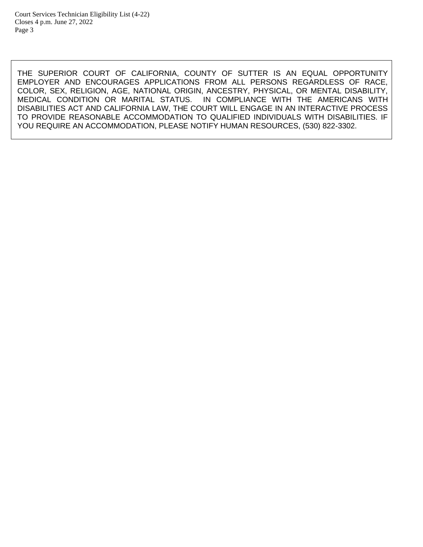THE SUPERIOR COURT OF CALIFORNIA, COUNTY OF SUTTER IS AN EQUAL OPPORTUNITY EMPLOYER AND ENCOURAGES APPLICATIONS FROM ALL PERSONS REGARDLESS OF RACE, COLOR, SEX, RELIGION, AGE, NATIONAL ORIGIN, ANCESTRY, PHYSICAL, OR MENTAL DISABILITY, MEDICAL CONDITION OR MARITAL STATUS. IN COMPLIANCE WITH THE AMERICANS WITH DISABILITIES ACT AND CALIFORNIA LAW, THE COURT WILL ENGAGE IN AN INTERACTIVE PROCESS TO PROVIDE REASONABLE ACCOMMODATION TO QUALIFIED INDIVIDUALS WITH DISABILITIES. IF YOU REQUIRE AN ACCOMMODATION, PLEASE NOTIFY HUMAN RESOURCES, (530) 822-3302.